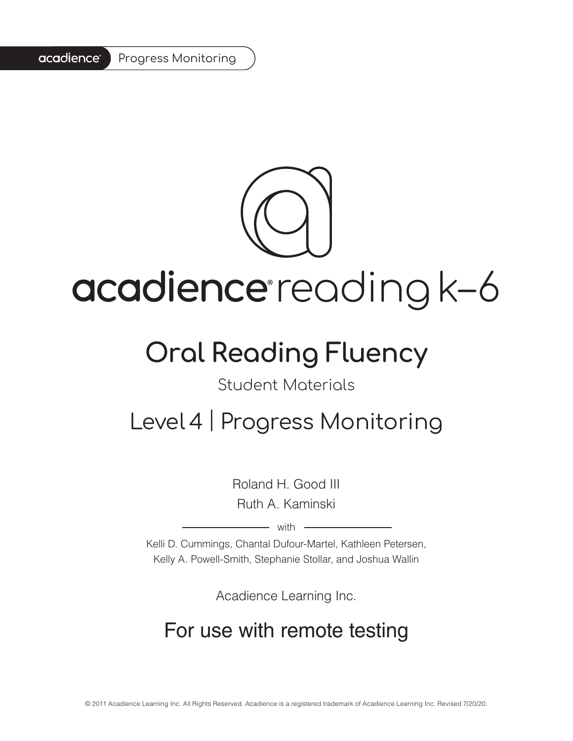#### acadience<sup>®</sup> Progress Monitoring



# acadience reading k-6

## **Oral Reading Fluency**

#### Student Materials

### Level 4 | Progress Monitoring

Roland H. Good III Ruth A. Kaminski

 $-$  with  $-$ 

Kelli D. Cummings, Chantal Dufour-Martel, Kathleen Petersen, Kelly A. Powell-Smith, Stephanie Stollar, and Joshua Wallin

Acadience Learning Inc.

### For use with remote testing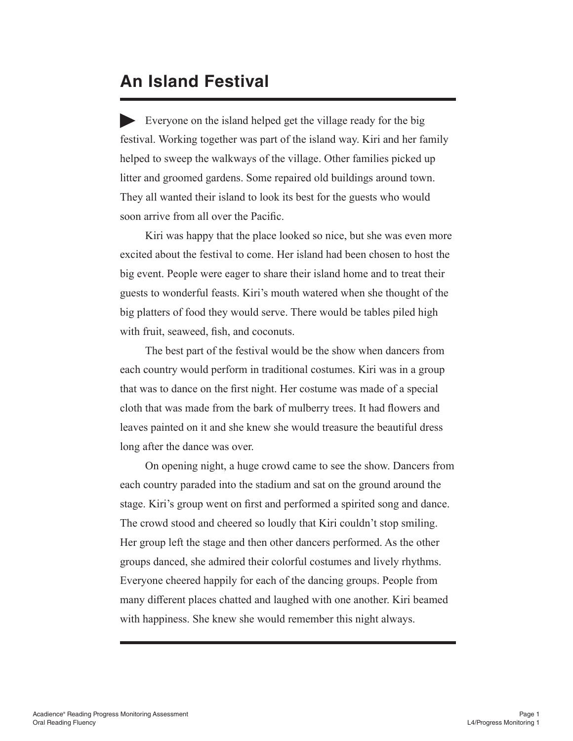#### **An Island Festival**

Everyone on the island helped get the village ready for the big festival. Working together was part of the island way. Kiri and her family helped to sweep the walkways of the village. Other families picked up litter and groomed gardens. Some repaired old buildings around town. They all wanted their island to look its best for the guests who would soon arrive from all over the Pacific.

Kiri was happy that the place looked so nice, but she was even more excited about the festival to come. Her island had been chosen to host the big event. People were eager to share their island home and to treat their guests to wonderful feasts. Kiri's mouth watered when she thought of the big platters of food they would serve. There would be tables piled high with fruit, seaweed, fish, and coconuts.

The best part of the festival would be the show when dancers from each country would perform in traditional costumes. Kiri was in a group that was to dance on the first night. Her costume was made of a special cloth that was made from the bark of mulberry trees. It had flowers and leaves painted on it and she knew she would treasure the beautiful dress long after the dance was over.

On opening night, a huge crowd came to see the show. Dancers from each country paraded into the stadium and sat on the ground around the stage. Kiri's group went on first and performed a spirited song and dance. The crowd stood and cheered so loudly that Kiri couldn't stop smiling. Her group left the stage and then other dancers performed. As the other groups danced, she admired their colorful costumes and lively rhythms. Everyone cheered happily for each of the dancing groups. People from many different places chatted and laughed with one another. Kiri beamed with happiness. She knew she would remember this night always.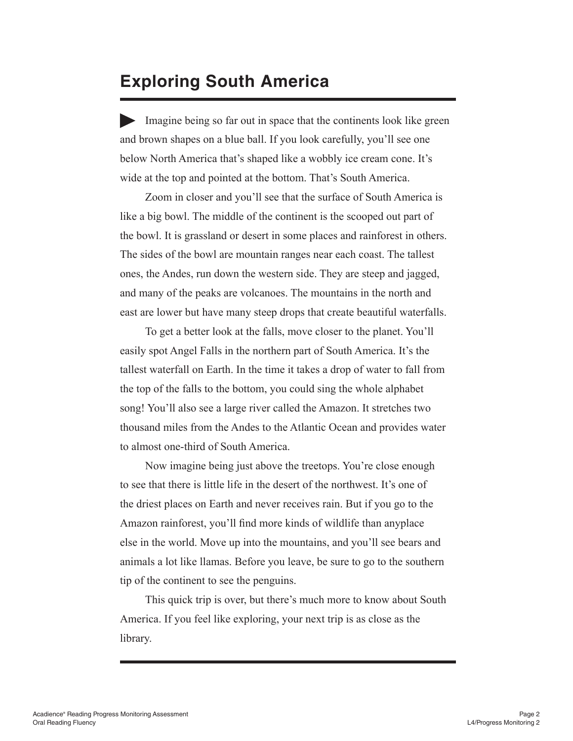#### **Exploring South America**

Imagine being so far out in space that the continents look like green and brown shapes on a blue ball. If you look carefully, you'll see one below North America that's shaped like a wobbly ice cream cone. It's wide at the top and pointed at the bottom. That's South America.

Zoom in closer and you'll see that the surface of South America is like a big bowl. The middle of the continent is the scooped out part of the bowl. It is grassland or desert in some places and rainforest in others. The sides of the bowl are mountain ranges near each coast. The tallest ones, the Andes, run down the western side. They are steep and jagged, and many of the peaks are volcanoes. The mountains in the north and east are lower but have many steep drops that create beautiful waterfalls.

To get a better look at the falls, move closer to the planet. You'll easily spot Angel Falls in the northern part of South America. It's the tallest waterfall on Earth. In the time it takes a drop of water to fall from the top of the falls to the bottom, you could sing the whole alphabet song! You'll also see a large river called the Amazon. It stretches two thousand miles from the Andes to the Atlantic Ocean and provides water to almost one-third of South America.

Now imagine being just above the treetops. You're close enough to see that there is little life in the desert of the northwest. It's one of the driest places on Earth and never receives rain. But if you go to the Amazon rainforest, you'll find more kinds of wildlife than anyplace else in the world. Move up into the mountains, and you'll see bears and animals a lot like llamas. Before you leave, be sure to go to the southern tip of the continent to see the penguins.

This quick trip is over, but there's much more to know about South America. If you feel like exploring, your next trip is as close as the library.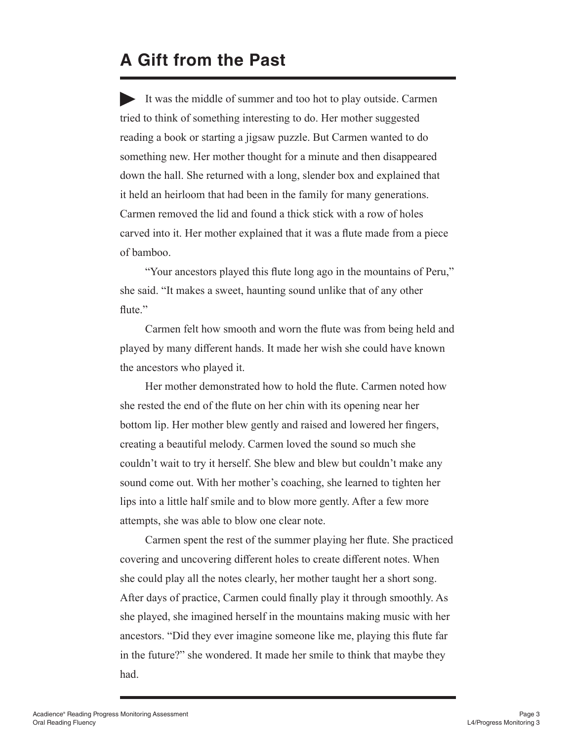#### **A Gift from the Past**

It was the middle of summer and too hot to play outside. Carmen tried to think of something interesting to do. Her mother suggested reading a book or starting a jigsaw puzzle. But Carmen wanted to do something new. Her mother thought for a minute and then disappeared down the hall. She returned with a long, slender box and explained that it held an heirloom that had been in the family for many generations. Carmen removed the lid and found a thick stick with a row of holes carved into it. Her mother explained that it was a flute made from a piece of bamboo.

"Your ancestors played this flute long ago in the mountains of Peru," she said. "It makes a sweet, haunting sound unlike that of any other flute."

Carmen felt how smooth and worn the flute was from being held and played by many different hands. It made her wish she could have known the ancestors who played it.

Her mother demonstrated how to hold the flute. Carmen noted how she rested the end of the flute on her chin with its opening near her bottom lip. Her mother blew gently and raised and lowered her fingers, creating a beautiful melody. Carmen loved the sound so much she couldn't wait to try it herself. She blew and blew but couldn't make any sound come out. With her mother's coaching, she learned to tighten her lips into a little half smile and to blow more gently. After a few more attempts, she was able to blow one clear note.

Carmen spent the rest of the summer playing her flute. She practiced covering and uncovering different holes to create different notes. When she could play all the notes clearly, her mother taught her a short song. After days of practice, Carmen could finally play it through smoothly. As she played, she imagined herself in the mountains making music with her ancestors. "Did they ever imagine someone like me, playing this flute far in the future?" she wondered. It made her smile to think that maybe they had.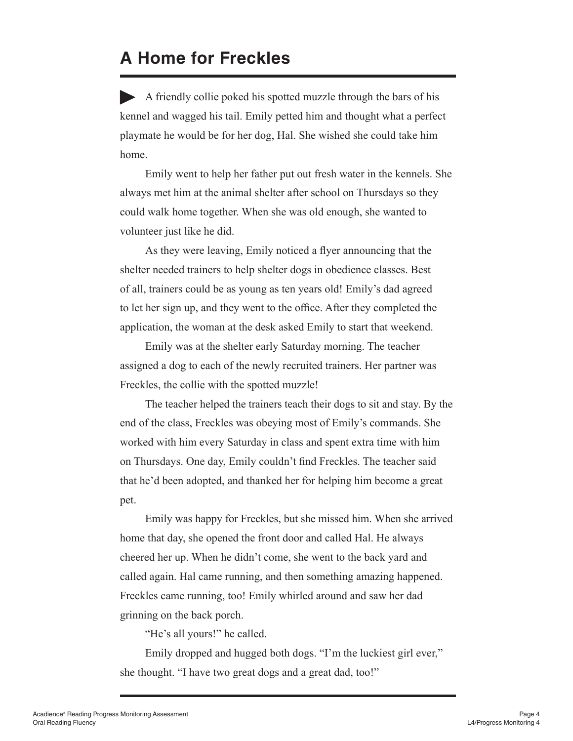#### **A Home for Freckles**

A friendly collie poked his spotted muzzle through the bars of his kennel and wagged his tail. Emily petted him and thought what a perfect playmate he would be for her dog, Hal. She wished she could take him home.

Emily went to help her father put out fresh water in the kennels. She always met him at the animal shelter after school on Thursdays so they could walk home together. When she was old enough, she wanted to volunteer just like he did.

As they were leaving, Emily noticed a flyer announcing that the shelter needed trainers to help shelter dogs in obedience classes. Best of all, trainers could be as young as ten years old! Emily's dad agreed to let her sign up, and they went to the office. After they completed the application, the woman at the desk asked Emily to start that weekend.

Emily was at the shelter early Saturday morning. The teacher assigned a dog to each of the newly recruited trainers. Her partner was Freckles, the collie with the spotted muzzle!

The teacher helped the trainers teach their dogs to sit and stay. By the end of the class, Freckles was obeying most of Emily's commands. She worked with him every Saturday in class and spent extra time with him on Thursdays. One day, Emily couldn't find Freckles. The teacher said that he'd been adopted, and thanked her for helping him become a great pet.

Emily was happy for Freckles, but she missed him. When she arrived home that day, she opened the front door and called Hal. He always cheered her up. When he didn't come, she went to the back yard and called again. Hal came running, and then something amazing happened. Freckles came running, too! Emily whirled around and saw her dad grinning on the back porch.

"He's all yours!" he called.

Emily dropped and hugged both dogs. "I'm the luckiest girl ever," she thought. "I have two great dogs and a great dad, too!"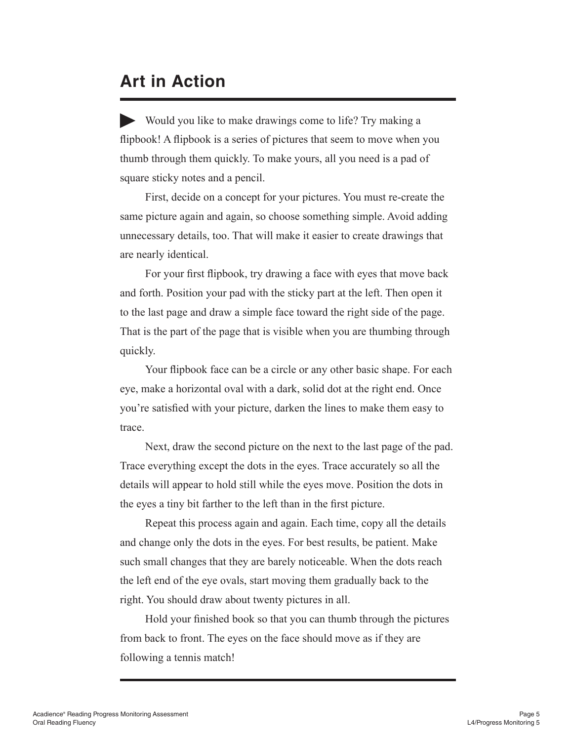#### **Art in Action**

Would you like to make drawings come to life? Try making a flipbook! A flipbook is a series of pictures that seem to move when you thumb through them quickly. To make yours, all you need is a pad of square sticky notes and a pencil.

First, decide on a concept for your pictures. You must re-create the same picture again and again, so choose something simple. Avoid adding unnecessary details, too. That will make it easier to create drawings that are nearly identical.

For your first flipbook, try drawing a face with eyes that move back and forth. Position your pad with the sticky part at the left. Then open it to the last page and draw a simple face toward the right side of the page. That is the part of the page that is visible when you are thumbing through quickly.

Your flipbook face can be a circle or any other basic shape. For each eye, make a horizontal oval with a dark, solid dot at the right end. Once you're satisfied with your picture, darken the lines to make them easy to trace.

Next, draw the second picture on the next to the last page of the pad. Trace everything except the dots in the eyes. Trace accurately so all the details will appear to hold still while the eyes move. Position the dots in the eyes a tiny bit farther to the left than in the first picture.

Repeat this process again and again. Each time, copy all the details and change only the dots in the eyes. For best results, be patient. Make such small changes that they are barely noticeable. When the dots reach the left end of the eye ovals, start moving them gradually back to the right. You should draw about twenty pictures in all.

Hold your finished book so that you can thumb through the pictures from back to front. The eyes on the face should move as if they are following a tennis match!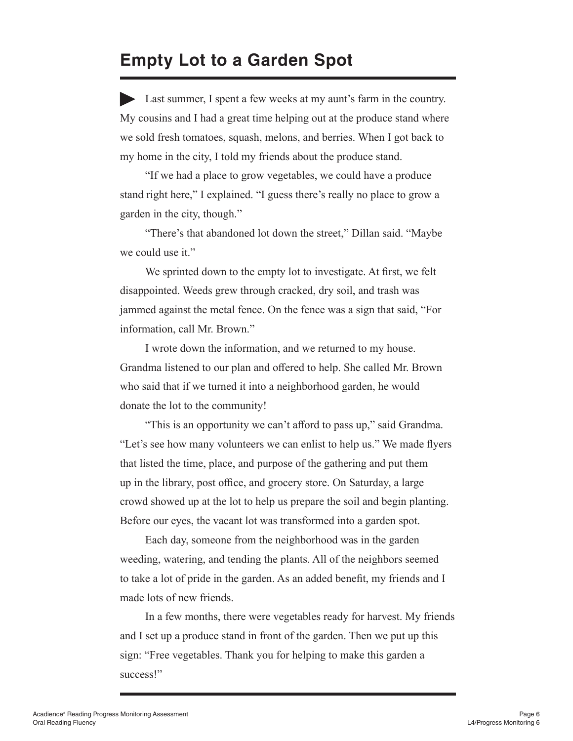#### **Empty Lot to a Garden Spot**

Last summer, I spent a few weeks at my aunt's farm in the country. My cousins and I had a great time helping out at the produce stand where we sold fresh tomatoes, squash, melons, and berries. When I got back to my home in the city, I told my friends about the produce stand.

"If we had a place to grow vegetables, we could have a produce stand right here," I explained. "I guess there's really no place to grow a garden in the city, though."

"There's that abandoned lot down the street," Dillan said. "Maybe we could use it."

We sprinted down to the empty lot to investigate. At first, we felt disappointed. Weeds grew through cracked, dry soil, and trash was jammed against the metal fence. On the fence was a sign that said, "For information, call Mr. Brown."

I wrote down the information, and we returned to my house. Grandma listened to our plan and offered to help. She called Mr. Brown who said that if we turned it into a neighborhood garden, he would donate the lot to the community!

"This is an opportunity we can't afford to pass up," said Grandma. "Let's see how many volunteers we can enlist to help us." We made flyers that listed the time, place, and purpose of the gathering and put them up in the library, post office, and grocery store. On Saturday, a large crowd showed up at the lot to help us prepare the soil and begin planting. Before our eyes, the vacant lot was transformed into a garden spot.

Each day, someone from the neighborhood was in the garden weeding, watering, and tending the plants. All of the neighbors seemed to take a lot of pride in the garden. As an added benefit, my friends and I made lots of new friends.

In a few months, there were vegetables ready for harvest. My friends and I set up a produce stand in front of the garden. Then we put up this sign: "Free vegetables. Thank you for helping to make this garden a success!"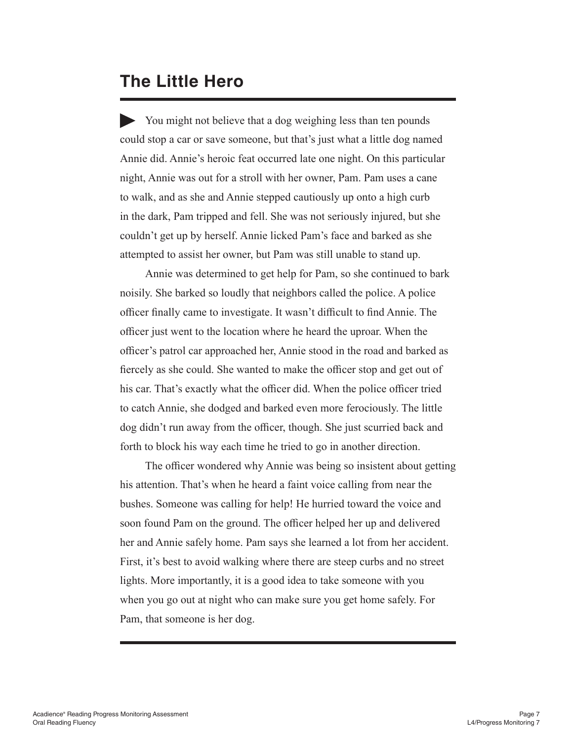#### **The Little Hero**

You might not believe that a dog weighing less than ten pounds could stop a car or save someone, but that's just what a little dog named Annie did. Annie's heroic feat occurred late one night. On this particular night, Annie was out for a stroll with her owner, Pam. Pam uses a cane to walk, and as she and Annie stepped cautiously up onto a high curb in the dark, Pam tripped and fell. She was not seriously injured, but she couldn't get up by herself. Annie licked Pam's face and barked as she attempted to assist her owner, but Pam was still unable to stand up.

Annie was determined to get help for Pam, so she continued to bark noisily. She barked so loudly that neighbors called the police. A police officer finally came to investigate. It wasn't difficult to find Annie. The officer just went to the location where he heard the uproar. When the officer's patrol car approached her, Annie stood in the road and barked as fiercely as she could. She wanted to make the officer stop and get out of his car. That's exactly what the officer did. When the police officer tried to catch Annie, she dodged and barked even more ferociously. The little dog didn't run away from the officer, though. She just scurried back and forth to block his way each time he tried to go in another direction.

The officer wondered why Annie was being so insistent about getting his attention. That's when he heard a faint voice calling from near the bushes. Someone was calling for help! He hurried toward the voice and soon found Pam on the ground. The officer helped her up and delivered her and Annie safely home. Pam says she learned a lot from her accident. First, it's best to avoid walking where there are steep curbs and no street lights. More importantly, it is a good idea to take someone with you when you go out at night who can make sure you get home safely. For Pam, that someone is her dog.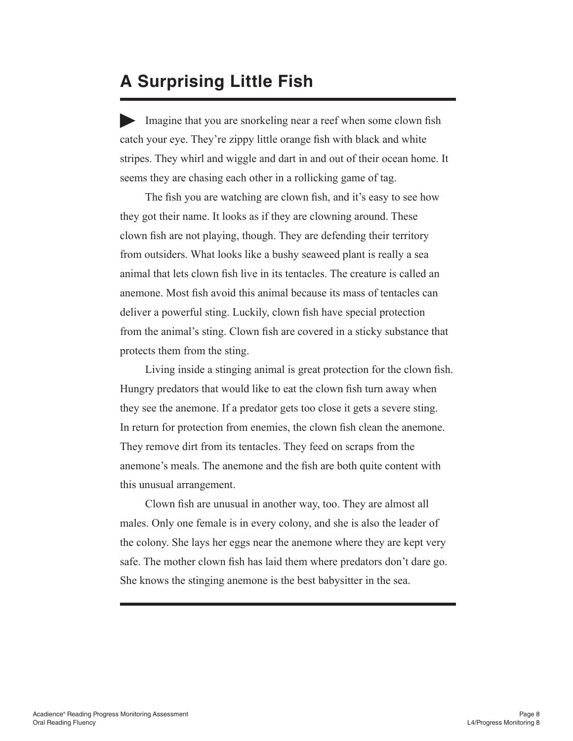#### **A Surprising Little Fish**

Imagine that you are snorkeling near a reef when some clown fish catch your eye. They're zippy little orange fish with black and white stripes. They whirl and wiggle and dart in and out of their ocean home. It seems they are chasing each other in a rollicking game of tag.

The fish you are watching are clown fish, and it's easy to see how they got their name. It looks as if they are clowning around. These clown fish are not playing, though. They are defending their territory from outsiders. What looks like a bushy seaweed plant is really a sea animal that lets clown fish live in its tentacles. The creature is called an anemone. Most fish avoid this animal because its mass of tentacles can deliver a powerful sting. Luckily, clown fish have special protection from the animal's sting. Clown fish are covered in a sticky substance that protects them from the sting.

Living inside a stinging animal is great protection for the clown fish. Hungry predators that would like to eat the clown fish turn away when they see the anemone. If a predator gets too close it gets a severe sting. In return for protection from enemies, the clown fish clean the anemone. They remove dirt from its tentacles. They feed on scraps from the anemone's meals. The anemone and the fish are both quite content with this unusual arrangement.

Clown fish are unusual in another way, too. They are almost all males. Only one female is in every colony, and she is also the leader of the colony. She lays her eggs near the anemone where they are kept very safe. The mother clown fish has laid them where predators don't dare go. She knows the stinging anemone is the best babysitter in the sea.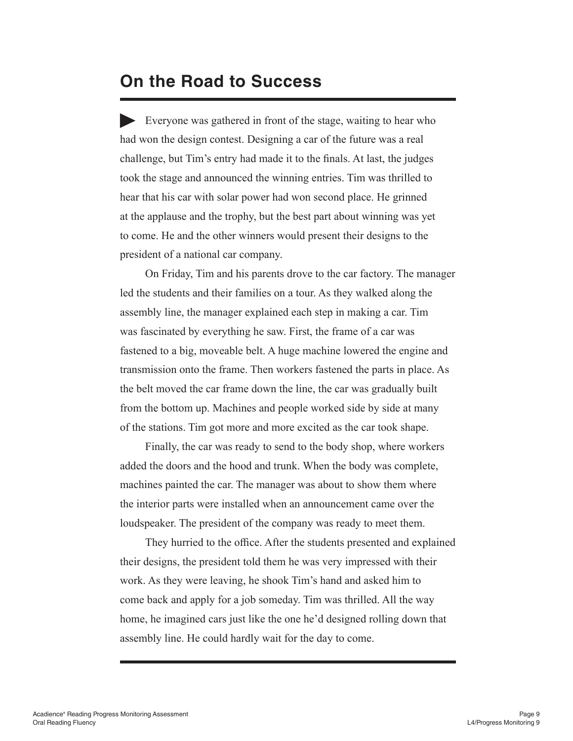#### **On the Road to Success**

Everyone was gathered in front of the stage, waiting to hear who had won the design contest. Designing a car of the future was a real challenge, but Tim's entry had made it to the finals. At last, the judges took the stage and announced the winning entries. Tim was thrilled to hear that his car with solar power had won second place. He grinned at the applause and the trophy, but the best part about winning was yet to come. He and the other winners would present their designs to the president of a national car company.

On Friday, Tim and his parents drove to the car factory. The manager led the students and their families on a tour. As they walked along the assembly line, the manager explained each step in making a car. Tim was fascinated by everything he saw. First, the frame of a car was fastened to a big, moveable belt. A huge machine lowered the engine and transmission onto the frame. Then workers fastened the parts in place. As the belt moved the car frame down the line, the car was gradually built from the bottom up. Machines and people worked side by side at many of the stations. Tim got more and more excited as the car took shape.

Finally, the car was ready to send to the body shop, where workers added the doors and the hood and trunk. When the body was complete, machines painted the car. The manager was about to show them where the interior parts were installed when an announcement came over the loudspeaker. The president of the company was ready to meet them.

They hurried to the office. After the students presented and explained their designs, the president told them he was very impressed with their work. As they were leaving, he shook Tim's hand and asked him to come back and apply for a job someday. Tim was thrilled. All the way home, he imagined cars just like the one he'd designed rolling down that assembly line. He could hardly wait for the day to come.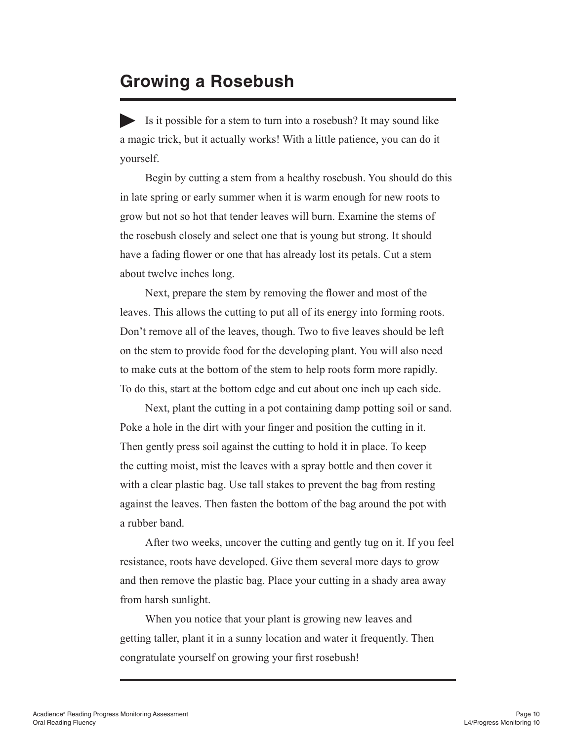#### **Growing a Rosebush**

Is it possible for a stem to turn into a rosebush? It may sound like a magic trick, but it actually works! With a little patience, you can do it yourself.

Begin by cutting a stem from a healthy rosebush. You should do this in late spring or early summer when it is warm enough for new roots to grow but not so hot that tender leaves will burn. Examine the stems of the rosebush closely and select one that is young but strong. It should have a fading flower or one that has already lost its petals. Cut a stem about twelve inches long.

Next, prepare the stem by removing the flower and most of the leaves. This allows the cutting to put all of its energy into forming roots. Don't remove all of the leaves, though. Two to five leaves should be left on the stem to provide food for the developing plant. You will also need to make cuts at the bottom of the stem to help roots form more rapidly. To do this, start at the bottom edge and cut about one inch up each side.

Next, plant the cutting in a pot containing damp potting soil or sand. Poke a hole in the dirt with your finger and position the cutting in it. Then gently press soil against the cutting to hold it in place. To keep the cutting moist, mist the leaves with a spray bottle and then cover it with a clear plastic bag. Use tall stakes to prevent the bag from resting against the leaves. Then fasten the bottom of the bag around the pot with a rubber band.

After two weeks, uncover the cutting and gently tug on it. If you feel resistance, roots have developed. Give them several more days to grow and then remove the plastic bag. Place your cutting in a shady area away from harsh sunlight.

When you notice that your plant is growing new leaves and getting taller, plant it in a sunny location and water it frequently. Then congratulate yourself on growing your first rosebush!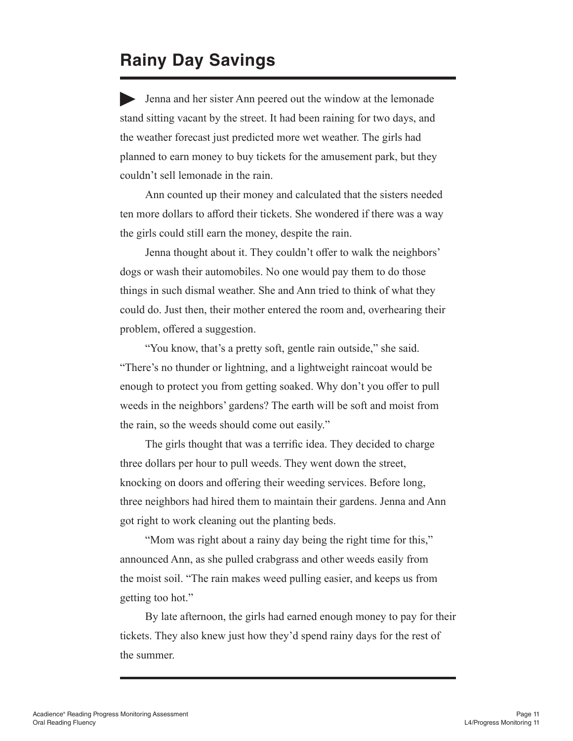#### **Rainy Day Savings**

Jenna and her sister Ann peered out the window at the lemonade stand sitting vacant by the street. It had been raining for two days, and the weather forecast just predicted more wet weather. The girls had planned to earn money to buy tickets for the amusement park, but they couldn't sell lemonade in the rain.

Ann counted up their money and calculated that the sisters needed ten more dollars to afford their tickets. She wondered if there was a way the girls could still earn the money, despite the rain.

Jenna thought about it. They couldn't offer to walk the neighbors' dogs or wash their automobiles. No one would pay them to do those things in such dismal weather. She and Ann tried to think of what they could do. Just then, their mother entered the room and, overhearing their problem, offered a suggestion.

"You know, that's a pretty soft, gentle rain outside," she said. "There's no thunder or lightning, and a lightweight raincoat would be enough to protect you from getting soaked. Why don't you offer to pull weeds in the neighbors' gardens? The earth will be soft and moist from the rain, so the weeds should come out easily."

The girls thought that was a terrific idea. They decided to charge three dollars per hour to pull weeds. They went down the street, knocking on doors and offering their weeding services. Before long, three neighbors had hired them to maintain their gardens. Jenna and Ann got right to work cleaning out the planting beds.

"Mom was right about a rainy day being the right time for this," announced Ann, as she pulled crabgrass and other weeds easily from the moist soil. "The rain makes weed pulling easier, and keeps us from getting too hot."

By late afternoon, the girls had earned enough money to pay for their tickets. They also knew just how they'd spend rainy days for the rest of the summer.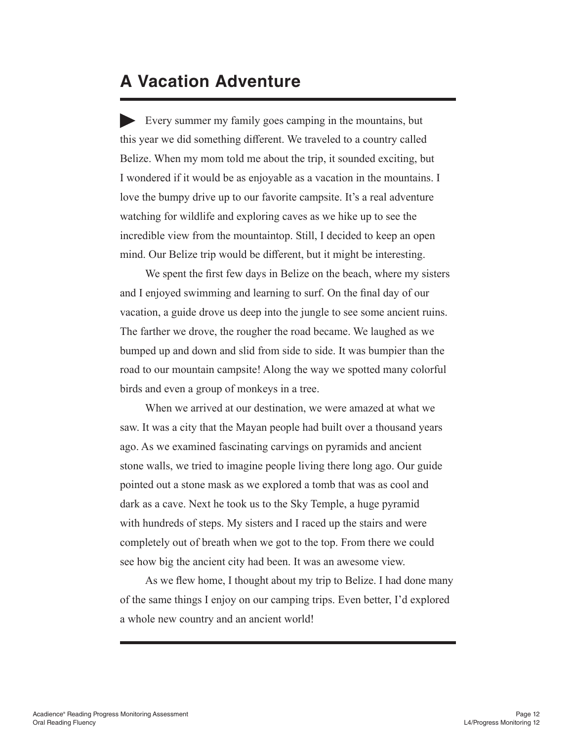#### **A Vacation Adventure**

Every summer my family goes camping in the mountains, but this year we did something different. We traveled to a country called Belize. When my mom told me about the trip, it sounded exciting, but I wondered if it would be as enjoyable as a vacation in the mountains. I love the bumpy drive up to our favorite campsite. It's a real adventure watching for wildlife and exploring caves as we hike up to see the incredible view from the mountaintop. Still, I decided to keep an open mind. Our Belize trip would be different, but it might be interesting.

We spent the first few days in Belize on the beach, where my sisters and I enjoyed swimming and learning to surf. On the final day of our vacation, a guide drove us deep into the jungle to see some ancient ruins. The farther we drove, the rougher the road became. We laughed as we bumped up and down and slid from side to side. It was bumpier than the road to our mountain campsite! Along the way we spotted many colorful birds and even a group of monkeys in a tree.

When we arrived at our destination, we were amazed at what we saw. It was a city that the Mayan people had built over a thousand years ago. As we examined fascinating carvings on pyramids and ancient stone walls, we tried to imagine people living there long ago. Our guide pointed out a stone mask as we explored a tomb that was as cool and dark as a cave. Next he took us to the Sky Temple, a huge pyramid with hundreds of steps. My sisters and I raced up the stairs and were completely out of breath when we got to the top. From there we could see how big the ancient city had been. It was an awesome view.

As we flew home, I thought about my trip to Belize. I had done many of the same things I enjoy on our camping trips. Even better, I'd explored a whole new country and an ancient world!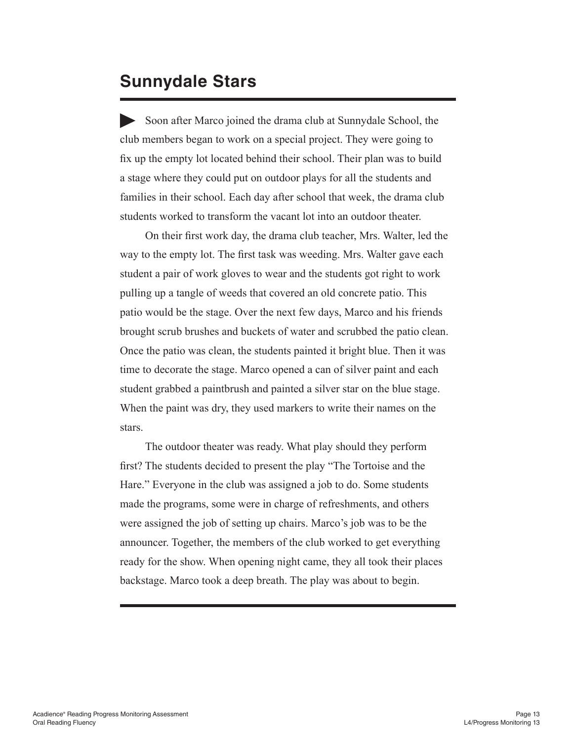#### **Sunnydale Stars**

Soon after Marco joined the drama club at Sunnydale School, the club members began to work on a special project. They were going to fix up the empty lot located behind their school. Their plan was to build a stage where they could put on outdoor plays for all the students and families in their school. Each day after school that week, the drama club students worked to transform the vacant lot into an outdoor theater.

On their first work day, the drama club teacher, Mrs. Walter, led the way to the empty lot. The first task was weeding. Mrs. Walter gave each student a pair of work gloves to wear and the students got right to work pulling up a tangle of weeds that covered an old concrete patio. This patio would be the stage. Over the next few days, Marco and his friends brought scrub brushes and buckets of water and scrubbed the patio clean. Once the patio was clean, the students painted it bright blue. Then it was time to decorate the stage. Marco opened a can of silver paint and each student grabbed a paintbrush and painted a silver star on the blue stage. When the paint was dry, they used markers to write their names on the stars.

The outdoor theater was ready. What play should they perform first? The students decided to present the play "The Tortoise and the Hare." Everyone in the club was assigned a job to do. Some students made the programs, some were in charge of refreshments, and others were assigned the job of setting up chairs. Marco's job was to be the announcer. Together, the members of the club worked to get everything ready for the show. When opening night came, they all took their places backstage. Marco took a deep breath. The play was about to begin.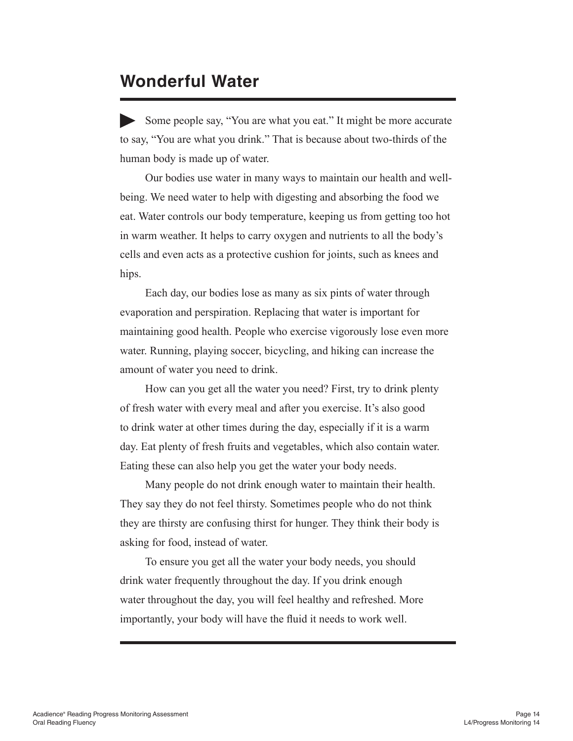#### **Wonderful Water**

Some people say, "You are what you eat." It might be more accurate to say, "You are what you drink." That is because about two-thirds of the human body is made up of water.

Our bodies use water in many ways to maintain our health and wellbeing. We need water to help with digesting and absorbing the food we eat. Water controls our body temperature, keeping us from getting too hot in warm weather. It helps to carry oxygen and nutrients to all the body's cells and even acts as a protective cushion for joints, such as knees and hips.

Each day, our bodies lose as many as six pints of water through evaporation and perspiration. Replacing that water is important for maintaining good health. People who exercise vigorously lose even more water. Running, playing soccer, bicycling, and hiking can increase the amount of water you need to drink.

How can you get all the water you need? First, try to drink plenty of fresh water with every meal and after you exercise. It's also good to drink water at other times during the day, especially if it is a warm day. Eat plenty of fresh fruits and vegetables, which also contain water. Eating these can also help you get the water your body needs.

Many people do not drink enough water to maintain their health. They say they do not feel thirsty. Sometimes people who do not think they are thirsty are confusing thirst for hunger. They think their body is asking for food, instead of water.

To ensure you get all the water your body needs, you should drink water frequently throughout the day. If you drink enough water throughout the day, you will feel healthy and refreshed. More importantly, your body will have the fluid it needs to work well.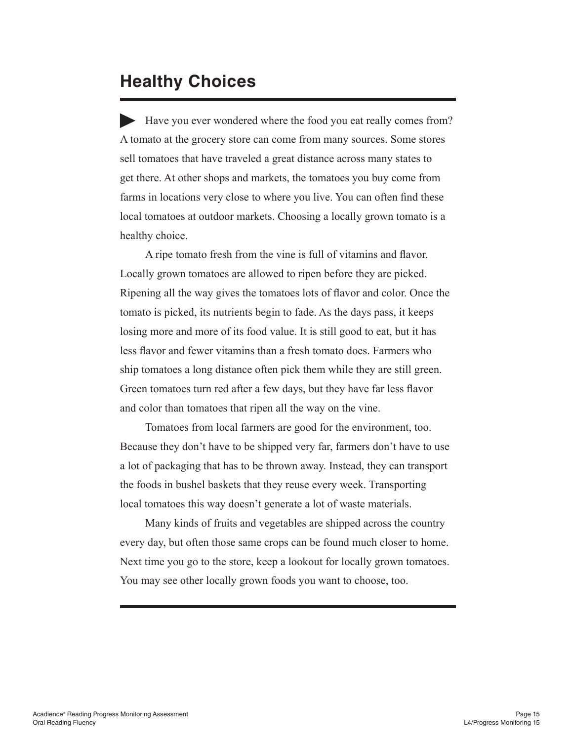#### **Healthy Choices**

Have you ever wondered where the food you eat really comes from? A tomato at the grocery store can come from many sources. Some stores sell tomatoes that have traveled a great distance across many states to get there. At other shops and markets, the tomatoes you buy come from farms in locations very close to where you live. You can often find these local tomatoes at outdoor markets. Choosing a locally grown tomato is a healthy choice.

A ripe tomato fresh from the vine is full of vitamins and flavor. Locally grown tomatoes are allowed to ripen before they are picked. Ripening all the way gives the tomatoes lots of flavor and color. Once the tomato is picked, its nutrients begin to fade. As the days pass, it keeps losing more and more of its food value. It is still good to eat, but it has less flavor and fewer vitamins than a fresh tomato does. Farmers who ship tomatoes a long distance often pick them while they are still green. Green tomatoes turn red after a few days, but they have far less flavor and color than tomatoes that ripen all the way on the vine.

Tomatoes from local farmers are good for the environment, too. Because they don't have to be shipped very far, farmers don't have to use a lot of packaging that has to be thrown away. Instead, they can transport the foods in bushel baskets that they reuse every week. Transporting local tomatoes this way doesn't generate a lot of waste materials.

Many kinds of fruits and vegetables are shipped across the country every day, but often those same crops can be found much closer to home. Next time you go to the store, keep a lookout for locally grown tomatoes. You may see other locally grown foods you want to choose, too.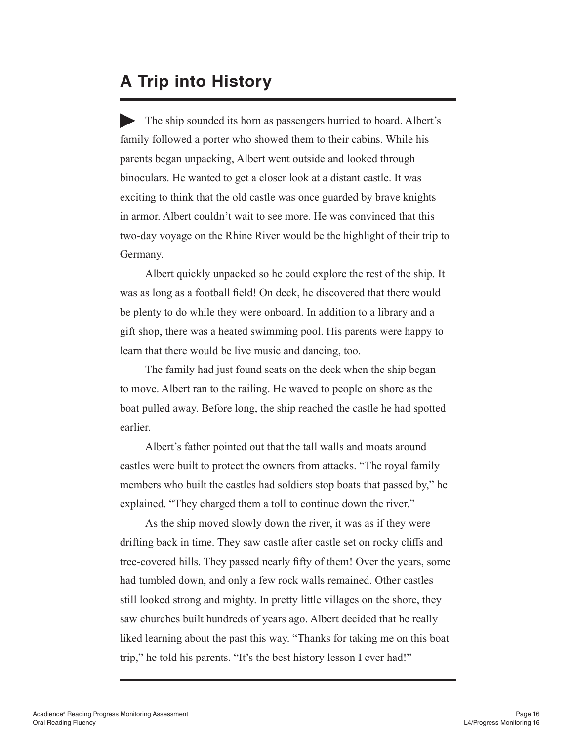#### **A Trip into History**

The ship sounded its horn as passengers hurried to board. Albert's family followed a porter who showed them to their cabins. While his parents began unpacking, Albert went outside and looked through binoculars. He wanted to get a closer look at a distant castle. It was exciting to think that the old castle was once guarded by brave knights in armor. Albert couldn't wait to see more. He was convinced that this two-day voyage on the Rhine River would be the highlight of their trip to Germany.

Albert quickly unpacked so he could explore the rest of the ship. It was as long as a football field! On deck, he discovered that there would be plenty to do while they were onboard. In addition to a library and a gift shop, there was a heated swimming pool. His parents were happy to learn that there would be live music and dancing, too.

The family had just found seats on the deck when the ship began to move. Albert ran to the railing. He waved to people on shore as the boat pulled away. Before long, the ship reached the castle he had spotted earlier.

Albert's father pointed out that the tall walls and moats around castles were built to protect the owners from attacks. "The royal family members who built the castles had soldiers stop boats that passed by," he explained. "They charged them a toll to continue down the river."

As the ship moved slowly down the river, it was as if they were drifting back in time. They saw castle after castle set on rocky cliffs and tree-covered hills. They passed nearly fifty of them! Over the years, some had tumbled down, and only a few rock walls remained. Other castles still looked strong and mighty. In pretty little villages on the shore, they saw churches built hundreds of years ago. Albert decided that he really liked learning about the past this way. "Thanks for taking me on this boat trip," he told his parents. "It's the best history lesson I ever had!"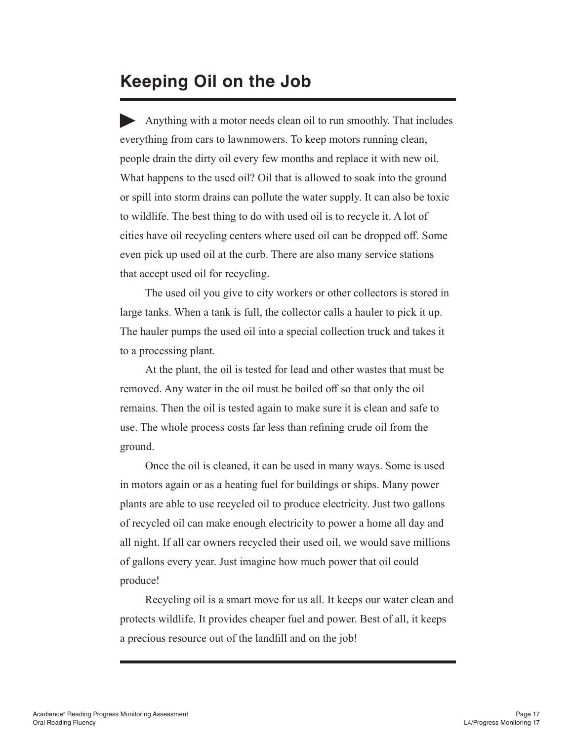#### **Keeping Oil on the Job**

Anything with a motor needs clean oil to run smoothly. That includes everything from cars to lawnmowers. To keep motors running clean, people drain the dirty oil every few months and replace it with new oil. What happens to the used oil? Oil that is allowed to soak into the ground or spill into storm drains can pollute the water supply. It can also be toxic to wildlife. The best thing to do with used oil is to recycle it. A lot of cities have oil recycling centers where used oil can be dropped off. Some even pick up used oil at the curb. There are also many service stations that accept used oil for recycling.

The used oil you give to city workers or other collectors is stored in large tanks. When a tank is full, the collector calls a hauler to pick it up. The hauler pumps the used oil into a special collection truck and takes it to a processing plant.

At the plant, the oil is tested for lead and other wastes that must be removed. Any water in the oil must be boiled off so that only the oil remains. Then the oil is tested again to make sure it is clean and safe to use. The whole process costs far less than refining crude oil from the ground.

Once the oil is cleaned, it can be used in many ways. Some is used in motors again or as a heating fuel for buildings or ships. Many power plants are able to use recycled oil to produce electricity. Just two gallons of recycled oil can make enough electricity to power a home all day and all night. If all car owners recycled their used oil, we would save millions of gallons every year. Just imagine how much power that oil could produce!

Recycling oil is a smart move for us all. It keeps our water clean and protects wildlife. It provides cheaper fuel and power. Best of all, it keeps a precious resource out of the landfill and on the job!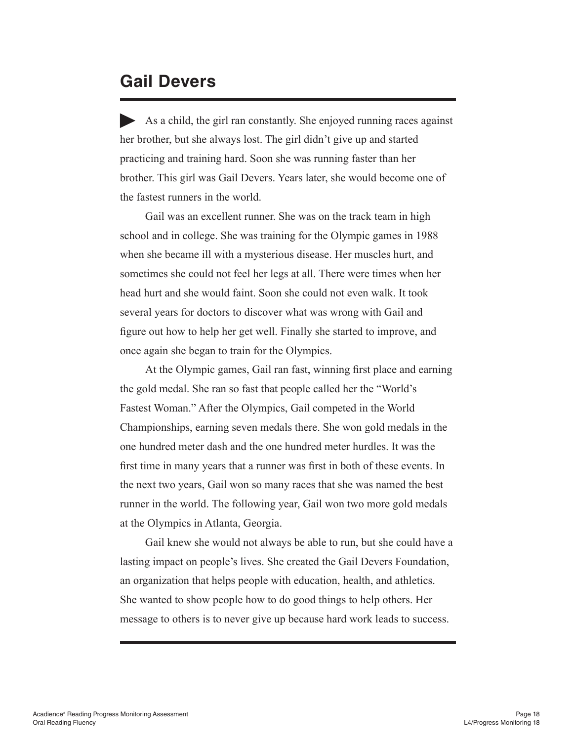#### **Gail Devers**

As a child, the girl ran constantly. She enjoyed running races against her brother, but she always lost. The girl didn't give up and started practicing and training hard. Soon she was running faster than her brother. This girl was Gail Devers. Years later, she would become one of the fastest runners in the world.

Gail was an excellent runner. She was on the track team in high school and in college. She was training for the Olympic games in 1988 when she became ill with a mysterious disease. Her muscles hurt, and sometimes she could not feel her legs at all. There were times when her head hurt and she would faint. Soon she could not even walk. It took several years for doctors to discover what was wrong with Gail and figure out how to help her get well. Finally she started to improve, and once again she began to train for the Olympics.

At the Olympic games, Gail ran fast, winning first place and earning the gold medal. She ran so fast that people called her the "World's Fastest Woman." After the Olympics, Gail competed in the World Championships, earning seven medals there. She won gold medals in the one hundred meter dash and the one hundred meter hurdles. It was the first time in many years that a runner was first in both of these events. In the next two years, Gail won so many races that she was named the best runner in the world. The following year, Gail won two more gold medals at the Olympics in Atlanta, Georgia.

Gail knew she would not always be able to run, but she could have a lasting impact on people's lives. She created the Gail Devers Foundation, an organization that helps people with education, health, and athletics. She wanted to show people how to do good things to help others. Her message to others is to never give up because hard work leads to success.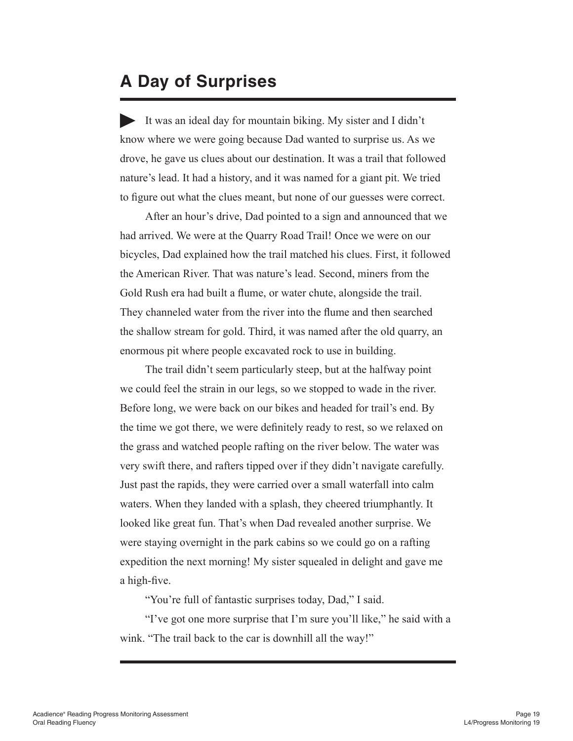#### **A Day of Surprises**

It was an ideal day for mountain biking. My sister and I didn't know where we were going because Dad wanted to surprise us. As we drove, he gave us clues about our destination. It was a trail that followed nature's lead. It had a history, and it was named for a giant pit. We tried to figure out what the clues meant, but none of our guesses were correct.

After an hour's drive, Dad pointed to a sign and announced that we had arrived. We were at the Quarry Road Trail! Once we were on our bicycles, Dad explained how the trail matched his clues. First, it followed the American River. That was nature's lead. Second, miners from the Gold Rush era had built a flume, or water chute, alongside the trail. They channeled water from the river into the flume and then searched the shallow stream for gold. Third, it was named after the old quarry, an enormous pit where people excavated rock to use in building.

The trail didn't seem particularly steep, but at the halfway point we could feel the strain in our legs, so we stopped to wade in the river. Before long, we were back on our bikes and headed for trail's end. By the time we got there, we were definitely ready to rest, so we relaxed on the grass and watched people rafting on the river below. The water was very swift there, and rafters tipped over if they didn't navigate carefully. Just past the rapids, they were carried over a small waterfall into calm waters. When they landed with a splash, they cheered triumphantly. It looked like great fun. That's when Dad revealed another surprise. We were staying overnight in the park cabins so we could go on a rafting expedition the next morning! My sister squealed in delight and gave me a high-five.

"You're full of fantastic surprises today, Dad," I said.

"I've got one more surprise that I'm sure you'll like," he said with a wink. "The trail back to the car is downhill all the way!"